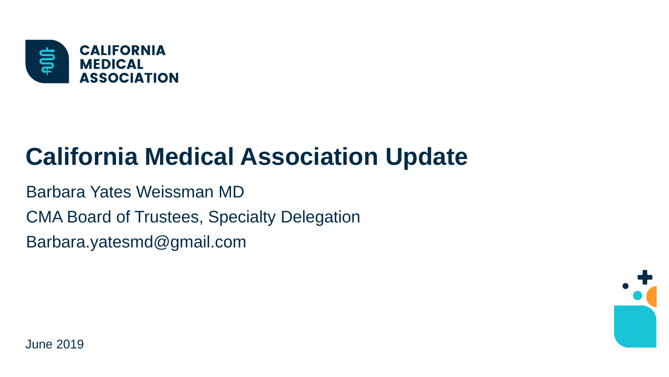

## **California Medical Association Update**

Barbara Yates Weissman MD

CMA Board of Trustees, Specialty Delegation

Barbara.yatesmd@gmail.com

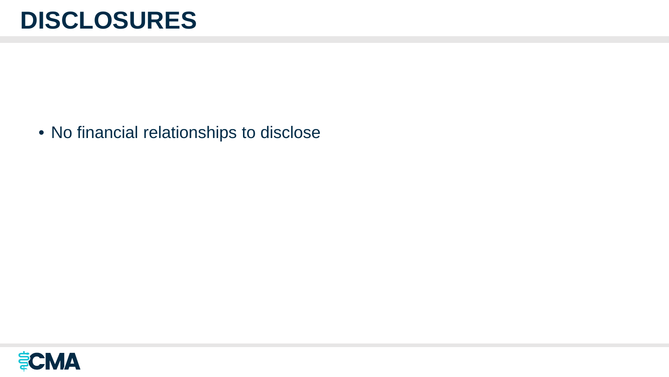### **DISCLOSURES**

• No financial relationships to disclose

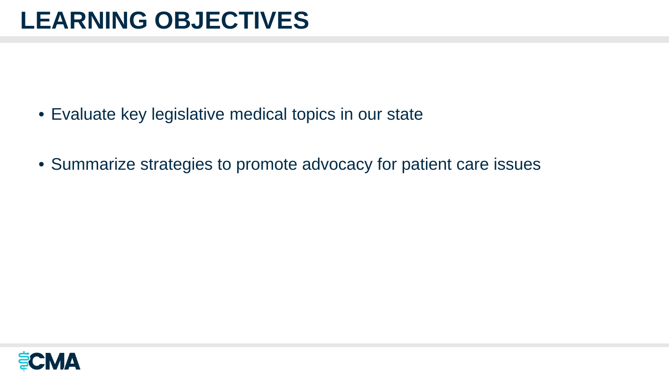- Evaluate key legislative medical topics in our state
- Summarize strategies to promote advocacy for patient care issues

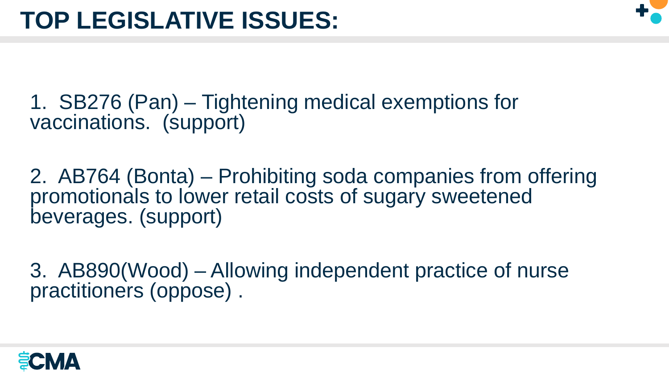

1. SB276 (Pan) – Tightening medical exemptions for vaccinations. (support)

2. AB764 (Bonta) – Prohibiting soda companies from offering promotionals to lower retail costs of sugary sweetened beverages. (support)

3. AB890(Wood) – Allowing independent practice of nurse practitioners (oppose) .

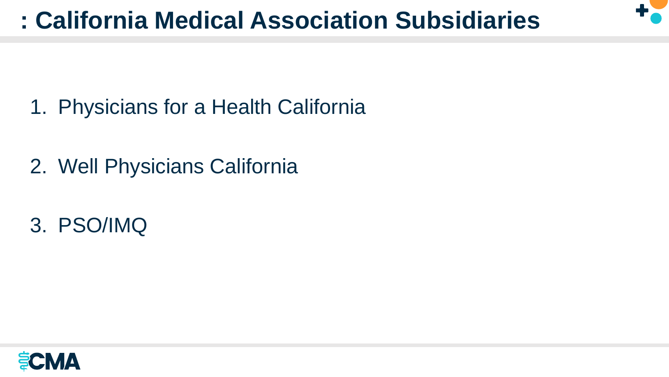

- 1. Physicians for a Health California
- 2. Well Physicians California
- 3. PSO/IMQ

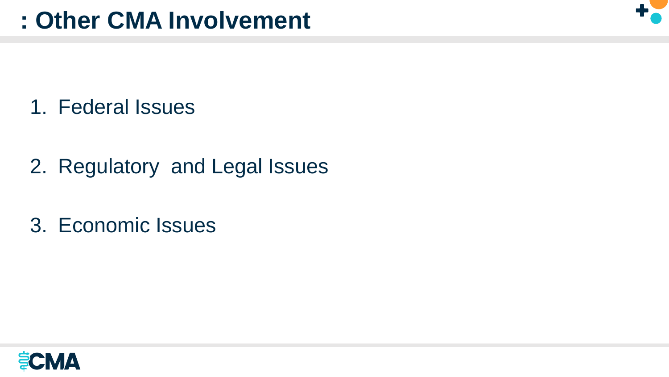

- 1. Federal Issues
- 2. Regulatory and Legal Issues
- 3. Economic Issues

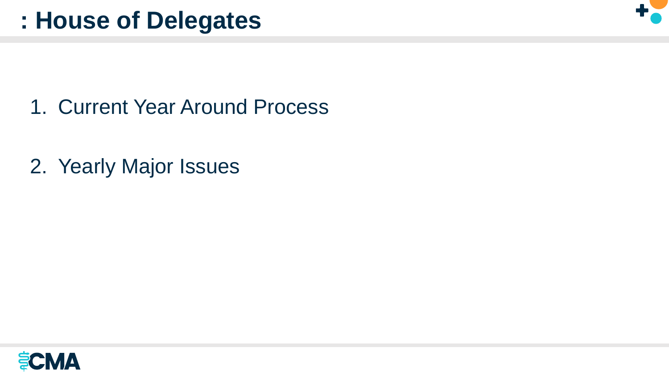

- 1. Current Year Around Process
- 2. Yearly Major Issues

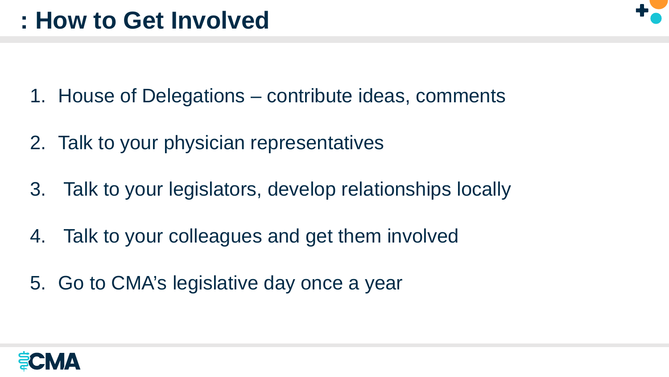- 1. House of Delegations contribute ideas, comments
- 2. Talk to your physician representatives
- 3. Talk to your legislators, develop relationships locally
- 4. Talk to your colleagues and get them involved
- 5. Go to CMA's legislative day once a year

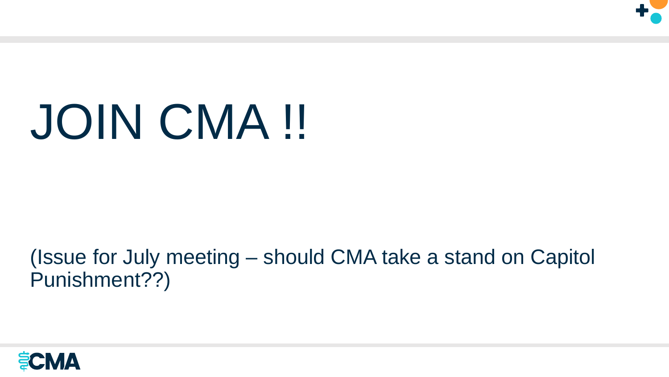

# JOIN CMA !!

#### (Issue for July meeting – should CMA take a stand on Capitol Punishment??)

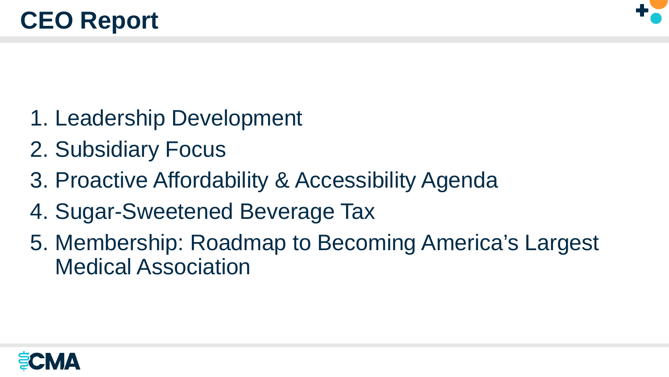

- 1. Leadership Development
- 2. Subsidiary Focus
- 3. Proactive Affordability & Accessibility Agenda
- 4. Sugar-Sweetened Beverage Tax
- 5. Membership: Roadmap to Becoming America's Largest Medical Association

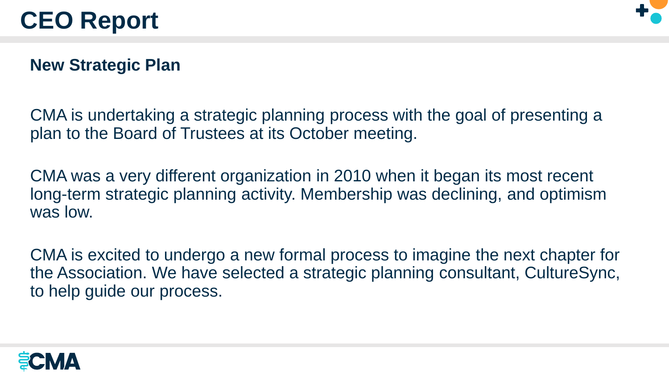

#### **New Strategic Plan**

CMA is undertaking a strategic planning process with the goal of presenting a plan to the Board of Trustees at its October meeting.

CMA was a very different organization in 2010 when it began its most recent long-term strategic planning activity. Membership was declining, and optimism was low.

CMA is excited to undergo a new formal process to imagine the next chapter for the Association. We have selected a strategic planning consultant, CultureSync, to help guide our process.